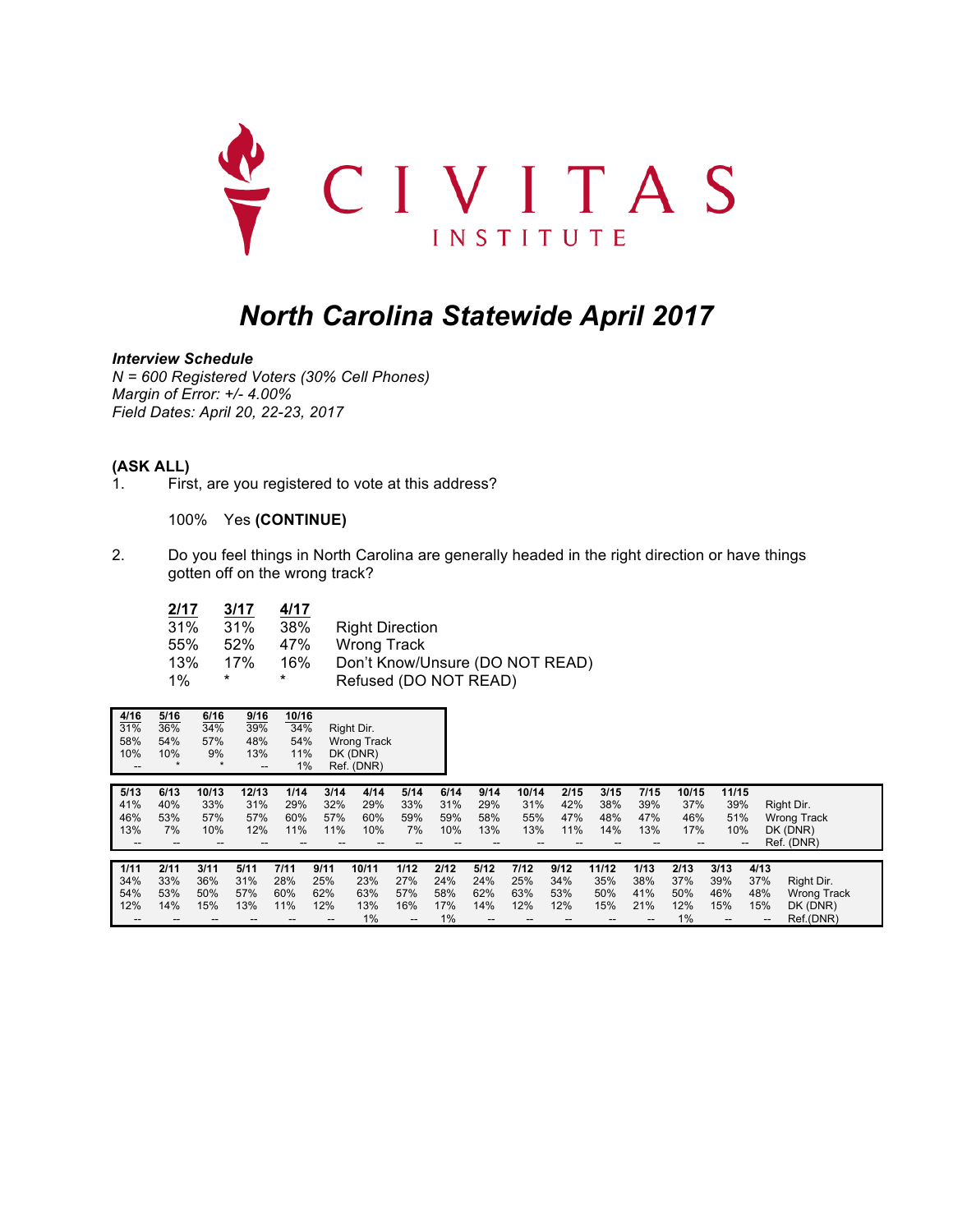

# *North Carolina Statewide April 2017*

*Interview Schedule*

*N = 600 Registered Voters (30% Cell Phones) Margin of Error: +/- 4.00% Field Dates: April 20, 22-23, 2017*

#### **(ASK ALL)**

1. First, are you registered to vote at this address?

100% Yes **(CONTINUE)**

2. Do you feel things in North Carolina are generally headed in the right direction or have things gotten off on the wrong track?

| 2/17  | 3/17 | 4/17 |                                 |
|-------|------|------|---------------------------------|
| 31%   | 31%  | 38%  | <b>Right Direction</b>          |
| 55%   | 52%  | 47%  | Wrong Track                     |
| 13%   | 17%  | 16%  | Don't Know/Unsure (DO NOT READ) |
| $1\%$ | *    | *    | Refused (DO NOT READ)           |

| 4/16<br>31%<br>58%<br>10%<br>$\overline{\phantom{a}}$ | 5/16<br>36%<br>54%<br>10% | 6/16<br>34%<br>57%<br>9%<br>$\star$ | 9/16<br>39%<br>48%<br>13%<br>-- | 10/16<br>34%<br>54%<br>11%<br>1% |                                                     | Right Dir.<br><b>Wrong Track</b><br>DK (DNR)<br>Ref. (DNR) |                                                |                                 |                                 |                                                     |                           |                                  |                                 |                                    |                                                        |                                 |                                                            |
|-------------------------------------------------------|---------------------------|-------------------------------------|---------------------------------|----------------------------------|-----------------------------------------------------|------------------------------------------------------------|------------------------------------------------|---------------------------------|---------------------------------|-----------------------------------------------------|---------------------------|----------------------------------|---------------------------------|------------------------------------|--------------------------------------------------------|---------------------------------|------------------------------------------------------------|
| 5/13<br>41%<br>46%<br>13%                             | 6/13<br>40%<br>53%<br>7%  | 10/13<br>33%<br>57%<br>10%          | 12/13<br>31%<br>57%<br>12%      | 1/14<br>29%<br>60%<br>11%        | 3/14<br>32%<br>57%<br>11%                           | 4/14<br>29%<br>60%<br>10%                                  | 5/14<br>33%<br>59%<br>7%                       | 6/14<br>31%<br>59%<br>10%       | 9/14<br>29%<br>58%<br>13%       | 10/14<br>31%<br>55%<br>13%                          | 2/15<br>42%<br>47%<br>11% | 3/15<br>38%<br>48%<br>14%        | 7/15<br>39%<br>47%<br>13%       | 10/15<br>37%<br>46%<br>17%<br>--   | 11/15<br>39%<br>51%<br>10%<br>$\overline{\phantom{a}}$ |                                 | Right Dir.<br><b>Wrong Track</b><br>DK (DNR)<br>Ref. (DNR) |
| 1/11<br>34%<br>54%<br>12%                             | 2/11<br>33%<br>53%<br>14% | 3/11<br>36%<br>50%<br>15%           | 5/11<br>31%<br>57%<br>13%       | 7/11<br>28%<br>60%<br>11%        | 9/11<br>25%<br>62%<br>12%<br>$\qquad \qquad \cdots$ | 10/11<br>23%<br>63%<br>13%<br>1%                           | 1/12<br>27%<br>57%<br>16%<br>$\qquad \qquad -$ | 2/12<br>24%<br>58%<br>17%<br>1% | 5/12<br>24%<br>62%<br>14%<br>-- | 7/12<br>25%<br>63%<br>12%<br>$\qquad \qquad \cdots$ | 9/12<br>34%<br>53%<br>12% | 11/12<br>35%<br>50%<br>15%<br>-- | 1/13<br>38%<br>41%<br>21%<br>-- | 2/13<br>37%<br>50%<br>12%<br>$1\%$ | 3/13<br>39%<br>46%<br>15%<br>$\qquad \qquad -$         | 4/13<br>37%<br>48%<br>15%<br>-- | Right Dir.<br><b>Wrong Track</b><br>DK (DNR)<br>Ref.(DNR)  |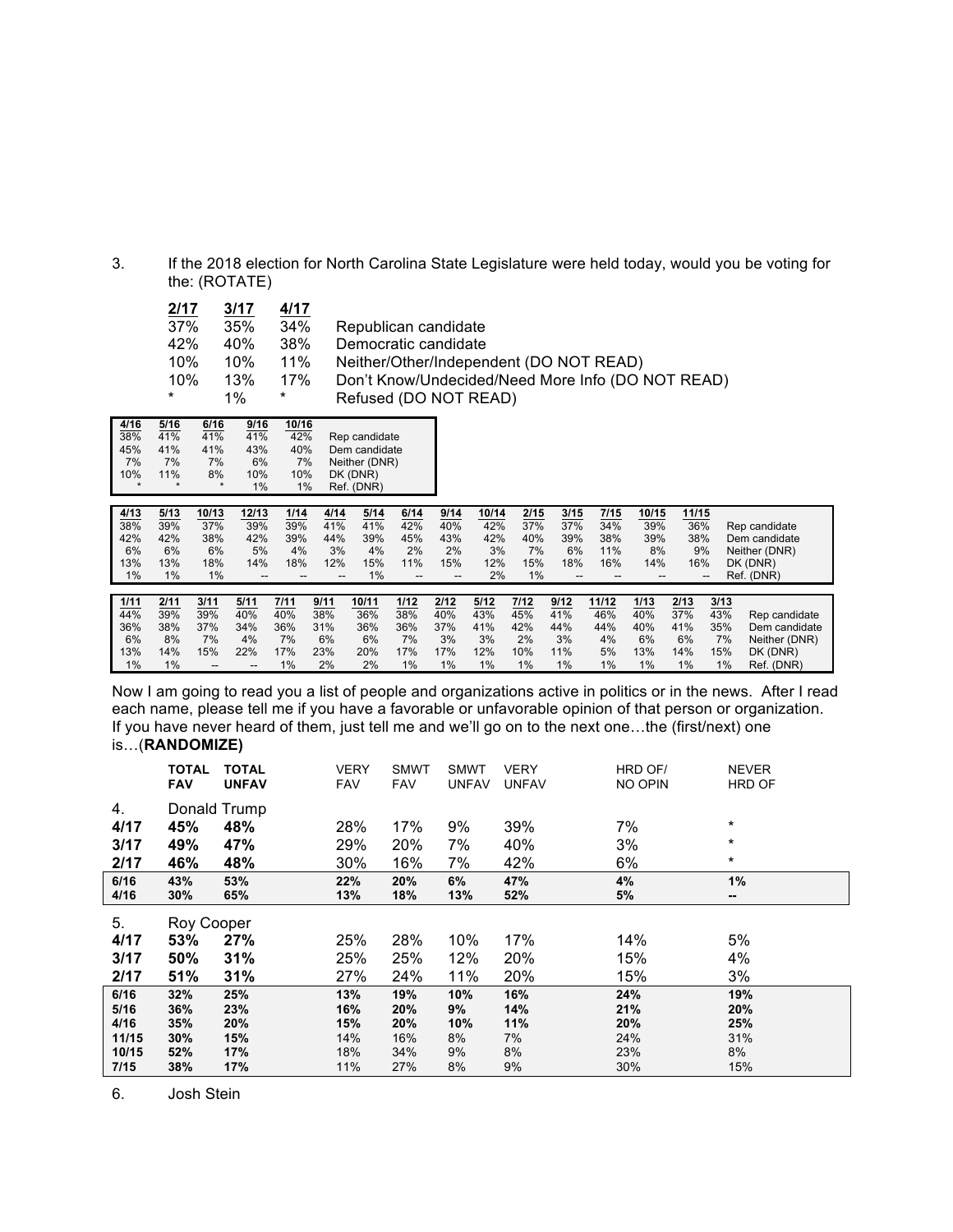3. If the 2018 election for North Carolina State Legislature were held today, would you be voting for the: (ROTATE)

| 2/17 | 3/17  | 4/17 |                                                   |
|------|-------|------|---------------------------------------------------|
| 37%  | 35%   | 34%  | Republican candidate                              |
| 42%  | 40%   | 38%  | Democratic candidate                              |
| 10%  | 10%   | 11%  | Neither/Other/Independent (DO NOT READ)           |
| 10%  | 13%   | 17%  | Don't Know/Undecided/Need More Info (DO NOT READ) |
| *    | $1\%$ | *    | Refused (DO NOT READ)                             |
|      |       |      |                                                   |

| 4/16    | 5/16    | 6/16    | 9/16 | 10/16 |               |
|---------|---------|---------|------|-------|---------------|
| 38%     | 41%     | 41%     | 41%  | 42%   | Rep candidate |
| 45%     | 41%     | 41%     | 43%  | 40%   | Dem candidate |
| 7%      | 7%      | 7%      | 6%   | 7%    | Neither (DNR) |
| 10%     | 11%     | 8%      | 10%  | 10%   | DK (DNR)      |
| $\star$ | $\star$ | $\star$ | 1%   | 1%    | Ref. (DNR)    |

| 4/13<br>38%<br>42%<br>6%<br>13%<br>1% | 5/13<br>39%<br>42%<br>6%<br>13%<br>$1\%$ | 10/13<br>37%<br>38%<br>6%<br>18%<br>$1\%$                 | 12/13<br>39%<br>42%<br>5%<br>14%<br>--                    | 1/14<br>39%<br>39%<br>4%<br>18%          | 4/14<br>41%<br>44%<br>3%<br>12%       | 5/14<br>41%<br>39%<br>4%<br>15%<br>$1\%$ | 6/14<br>42%<br>45%<br>2%<br>11%<br>-- | 9/14<br>40%<br>43%<br>2%<br>15%<br>-- | 10/14<br>42%<br>42%<br>3%<br>12%<br>2% | 2/15<br>37%<br>40%<br>7%<br>15%<br>$1\%$ | 3/15<br>37%<br>39%<br>6%<br>18%<br>$-$ | 7/15<br>34%<br>38%<br>11%<br>16%<br>--   | 10/15<br>39%<br>39%<br>8%<br>14%      | 11/15<br>36%<br>38%<br>9%<br>16%      | --                                       | Rep candidate<br>Dem candidate<br>Neither (DNR)<br>DK (DNR)<br>Ref. (DNR) |
|---------------------------------------|------------------------------------------|-----------------------------------------------------------|-----------------------------------------------------------|------------------------------------------|---------------------------------------|------------------------------------------|---------------------------------------|---------------------------------------|----------------------------------------|------------------------------------------|----------------------------------------|------------------------------------------|---------------------------------------|---------------------------------------|------------------------------------------|---------------------------------------------------------------------------|
| 1/11<br>44%<br>36%<br>6%<br>13%<br>1% | 2/11<br>39%<br>38%<br>8%<br>14%<br>$1\%$ | 3/11<br>39%<br>37%<br>7%<br>15%<br>$\qquad \qquad \cdots$ | 5/11<br>40%<br>34%<br>4%<br>22%<br>$\qquad \qquad \cdots$ | 7/11<br>40%<br>36%<br>7%<br>17%<br>$1\%$ | 9/11<br>38%<br>31%<br>6%<br>23%<br>2% | 10/11<br>36%<br>36%<br>6%<br>20%<br>2%   | 1/12<br>38%<br>36%<br>7%<br>17%<br>1% | 2/12<br>40%<br>37%<br>3%<br>17%<br>1% | 5/12<br>43%<br>41%<br>3%<br>12%<br>1%  | 7/12<br>45%<br>42%<br>2%<br>10%<br>1%    | 9/12<br>41%<br>44%<br>3%<br>11%<br>1%  | 11/12<br>46%<br>44%<br>4%<br>5%<br>$1\%$ | 1/13<br>40%<br>40%<br>6%<br>13%<br>1% | 2/13<br>37%<br>41%<br>6%<br>14%<br>1% | 3/13<br>43%<br>35%<br>7%<br>15%<br>$1\%$ | Rep candidate<br>Dem candidate<br>Neither (DNR)<br>DK (DNR)<br>Ref. (DNR) |

Now I am going to read you a list of people and organizations active in politics or in the news. After I read each name, please tell me if you have a favorable or unfavorable opinion of that person or organization. If you have never heard of them, just tell me and we'll go on to the next one...the (first/next) one is…(**RANDOMIZE)**

|       | <b>TOTAL</b><br><b>FAV</b> | <b>TOTAL</b><br><b>UNFAV</b> | <b>VERY</b><br><b>FAV</b> | <b>SMWT</b><br><b>FAV</b> | <b>SMWT</b><br><b>UNFAV</b> | <b>VERY</b><br><b>UNFAV</b> | HRD OF/<br>NO OPIN | <b>NEVER</b><br><b>HRD OF</b> |
|-------|----------------------------|------------------------------|---------------------------|---------------------------|-----------------------------|-----------------------------|--------------------|-------------------------------|
| 4.    |                            | Donald Trump                 |                           |                           |                             |                             |                    |                               |
| 4/17  | 45%                        | 48%                          | 28%                       | 17%                       | 9%                          | 39%                         | 7%                 | $\ast$                        |
| 3/17  | 49%                        | 47%                          | 29%                       | 20%                       | 7%                          | 40%                         | 3%                 | $\star$                       |
| 2/17  | 46%                        | 48%                          | 30%                       | 16%                       | 7%                          | 42%                         | 6%                 | $\star$                       |
| 6/16  | 43%                        | 53%                          | 22%                       | 20%                       | 6%                          | 47%                         | 4%                 | 1%                            |
| 4/16  | 30%                        | 65%                          | 13%                       | 18%                       | 13%                         | 52%                         | 5%                 | --                            |
| 5.    | Roy Cooper                 |                              |                           |                           |                             |                             |                    |                               |
| 4/17  | 53%                        | 27%                          | 25%                       | 28%                       | 10%                         | 17%                         | 14%                | 5%                            |
| 3/17  | 50%                        | 31%                          | 25%                       | 25%                       | 12%                         | 20%                         | 15%                | 4%                            |
| 2/17  | 51%                        | 31%                          | 27%                       | 24%                       | 11%                         | 20%                         | 15%                | 3%                            |
| 6/16  | 32%                        | 25%                          | 13%                       | 19%                       | 10%                         | 16%                         | 24%                | 19%                           |
| 5/16  | 36%                        | 23%                          | 16%                       | 20%                       | 9%                          | 14%                         | 21%                | 20%                           |
| 4/16  | 35%                        | 20%                          | 15%                       | 20%                       | 10%                         | 11%                         | 20%                | 25%                           |
| 11/15 | 30%                        | 15%                          | 14%                       | 16%                       | 8%                          | 7%                          | 24%                | 31%                           |
| 10/15 | 52%                        | 17%                          | 18%                       | 34%                       | 9%                          | 8%                          | 23%                | 8%                            |
| 7/15  | 38%                        | 17%                          | 11%                       | 27%                       | 8%                          | 9%                          | 30%                | 15%                           |

6. Josh Stein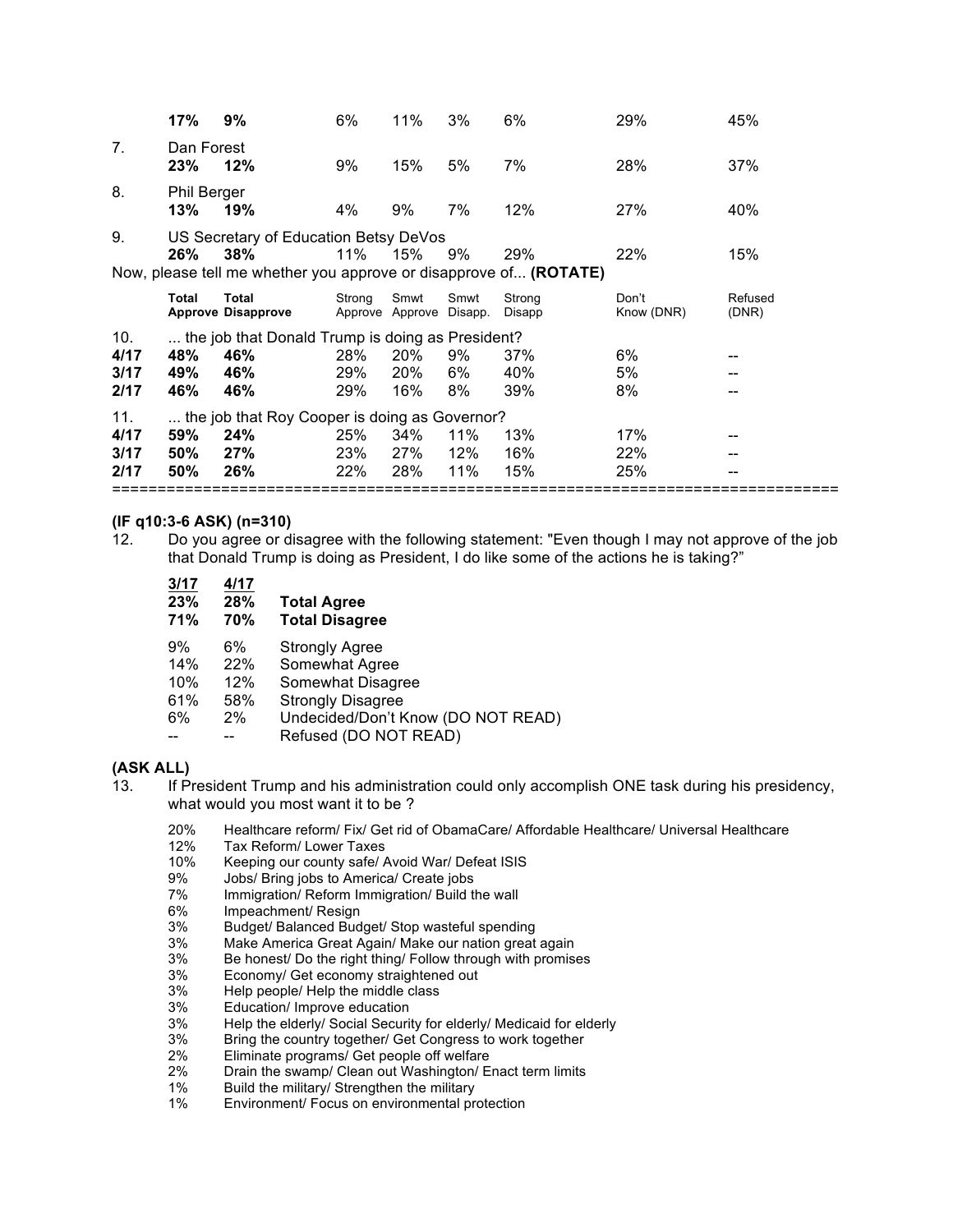|                | 17%                       | 9%                                                                                                                | 6%     | 11%                             | 3%   | 6%               | 29%                 | 45%              |
|----------------|---------------------------|-------------------------------------------------------------------------------------------------------------------|--------|---------------------------------|------|------------------|---------------------|------------------|
| 7 <sub>1</sub> | Dan Forest<br>23%         | 12%                                                                                                               | 9%     | 15%                             | 5%   | 7%               | 28%                 | 37%              |
| 8.             | <b>Phil Berger</b><br>13% | 19%                                                                                                               | 4%     | 9%                              | 7%   | 12%              | 27%                 | 40%              |
| 9.             | 26%                       | US Secretary of Education Betsy DeVos<br>38%<br>Now, please tell me whether you approve or disapprove of (ROTATE) | 11%    | 15%                             | 9%   | 29%              | 22%                 | 15%              |
|                | Total                     | <b>Total</b><br><b>Approve Disapprove</b>                                                                         | Strong | Smwt<br>Approve Approve Disapp. | Smwt | Strong<br>Disapp | Don't<br>Know (DNR) | Refused<br>(DNR) |
| 10.            |                           | the job that Donald Trump is doing as President?                                                                  |        |                                 |      |                  |                     |                  |
| 4/17           | 48%                       | 46%                                                                                                               | 28%    | 20%                             | 9%   | 37%              | 6%                  |                  |
| 3/17           | 49%                       | 46%                                                                                                               | 29%    | 20%                             | 6%   | 40%              | 5%                  |                  |
| 2/17           | 46%                       | 46%                                                                                                               | 29%    | 16%                             | 8%   | 39%              | 8%                  |                  |
| 11.            |                           | the job that Roy Cooper is doing as Governor?                                                                     |        |                                 |      |                  |                     |                  |
| 4/17           | 59%                       | 24%                                                                                                               | 25%    | 34%                             | 11%  | 13%              | 17%                 |                  |
| 3/17           | 50%                       | 27%                                                                                                               | 23%    | 27%                             | 12%  | 16%              | 22%                 |                  |
| 2/17           | $50\%$                    | 26%                                                                                                               | 22%    | 28%                             | 11%  | 15%              | 25%                 |                  |
|                |                           |                                                                                                                   |        |                                 |      |                  |                     |                  |

#### **(IF q10:3-6 ASK) (n=310)**

12. Do you agree or disagree with the following statement: "Even though I may not approve of the job that Donald Trump is doing as President, I do like some of the actions he is taking?"

| 3/17<br>23%<br><b>71%</b> | 4/17<br><b>28%</b><br>70% | <b>Total Agree</b><br><b>Total Disagree</b>                                             |
|---------------------------|---------------------------|-----------------------------------------------------------------------------------------|
| 9%<br>14%<br>10%          | 6%<br>22%<br>12%          | <b>Strongly Agree</b><br>Somewhat Agree<br>Somewhat Disagree                            |
| 61%<br>6%                 | 58%<br>$2\%$              | <b>Strongly Disagree</b><br>Undecided/Don't Know (DO NOT READ)<br>Refused (DO NOT READ) |

#### **(ASK ALL)**

13. If President Trump and his administration could only accomplish ONE task during his presidency, what would you most want it to be ?

20% Healthcare reform/ Fix/ Get rid of ObamaCare/ Affordable Healthcare/ Universal Healthcare<br>12% Tax Reform/ Lower Taxes

- Tax Reform/ Lower Taxes
- 10% Keeping our county safe/ Avoid War/ Defeat ISIS<br>9% Jobs/ Bring jobs to America/ Create jobs
- 9% Jobs/ Bring jobs to America/ Create jobs<br>7% Immigration/ Reform Immigration/ Build the
- 7% Immigration/ Reform Immigration/ Build the wall
- 6% Impeachment/ Resign<br>3% Budget/ Balanced Bud
- 3% Budget/ Balanced Budget/ Stop wasteful spending
- 3% Make America Great Again/ Make our nation great again
- 3% Be honest/ Do the right thing/ Follow through with promises 3% Economy/ Get economy straightened out
- 3% Economy/ Get economy straightened out<br>3% Help people/ Help the middle class
- 3% Help people/ Help the middle class<br>3% Education/ Improve education
- 3% Education/ Improve education<br>3% Help the elderly/ Social Securing
- Help the elderly/ Social Security for elderly/ Medicaid for elderly
- 3% Bring the country together/ Get Congress to work together
- 2% Eliminate programs/ Get people off welfare
- 2% Drain the swamp/ Clean out Washington/ Enact term limits
- 1% Build the military/ Strengthen the military<br>1% Environment/ Focus on environmental pre
- Environment/ Focus on environmental protection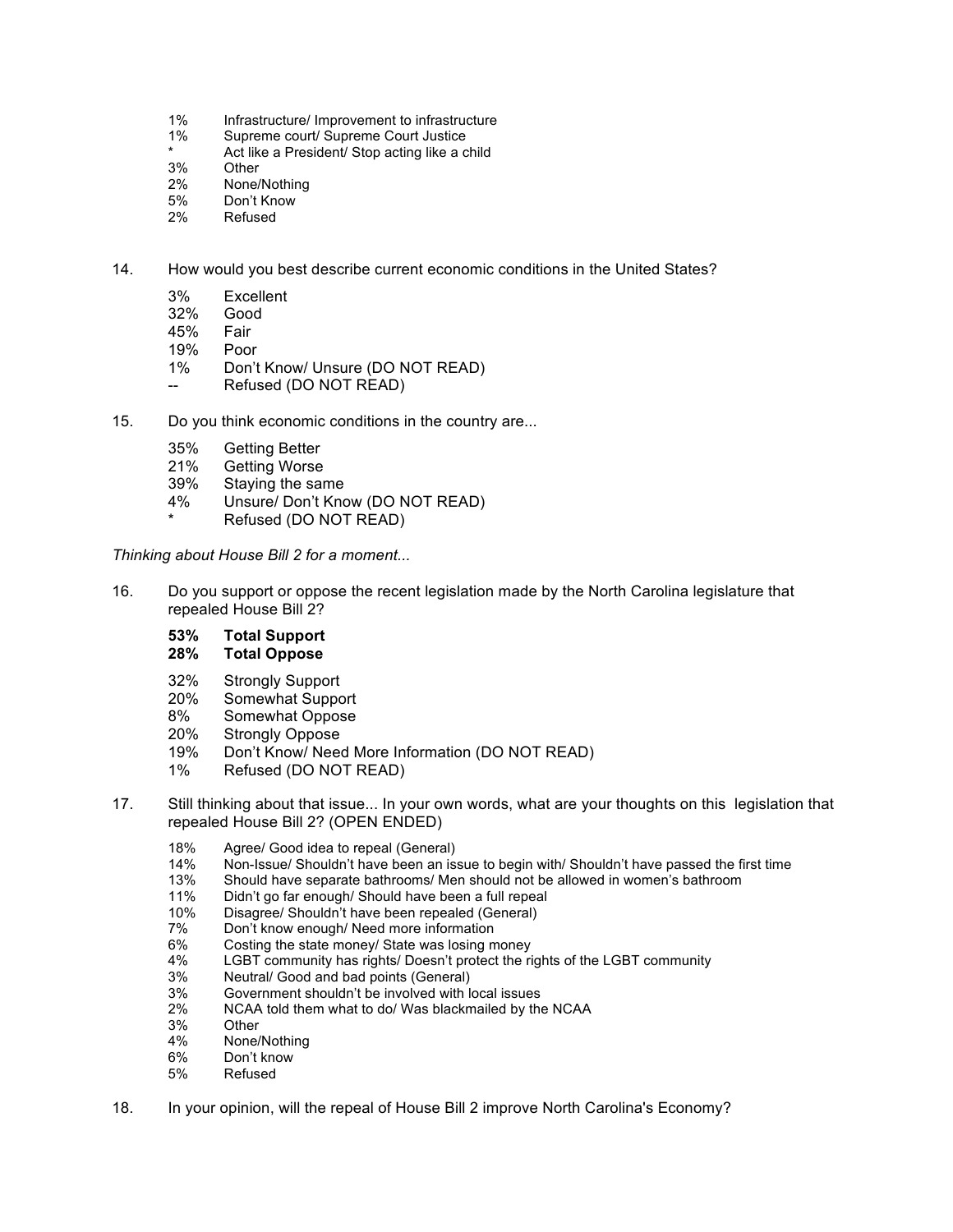- 1% Infrastructure/ Improvement to infrastructure<br>1% Supreme court/ Supreme Court Justice
- Supreme court/ Supreme Court Justice
- Act like a President/ Stop acting like a child
- 3% Other
- 2% None/Nothing
- 5% Don't Know
- 2% Refused

14. How would you best describe current economic conditions in the United States?

- 3% Excellent
- 32% Good
- 45% Fair
- 19% Poor
- 1% Don't Know/ Unsure (DO NOT READ)
- Refused (DO NOT READ)
- 15. Do you think economic conditions in the country are...
	- 35% Getting Better
	- **Getting Worse**
	- 39% Staying the same
	- 4% Unsure/ Don't Know (DO NOT READ)
	- Refused (DO NOT READ)

*Thinking about House Bill 2 for a moment...*

16. Do you support or oppose the recent legislation made by the North Carolina legislature that repealed House Bill 2?

#### **53% Total Support**

#### **28% Total Oppose**

- 32% Strongly Support
- 20% Somewhat Support
- 8% Somewhat Oppose
- 20% Strongly Oppose
- 19% Don't Know/ Need More Information (DO NOT READ)
- 1% Refused (DO NOT READ)
- 17. Still thinking about that issue... In your own words, what are your thoughts on this legislation that repealed House Bill 2? (OPEN ENDED)
	- 18% Agree/ Good idea to repeal (General)<br>14% Non-Issue/ Shouldn't have been an iss
	- 14% Non-Issue/ Shouldn't have been an issue to begin with/ Shouldn't have passed the first time<br>13% Should have separate bathrooms/ Men should not be allowed in women's bathroom
	- Should have separate bathrooms/ Men should not be allowed in women's bathroom
	- 11% Didn't go far enough/ Should have been a full repeal
	- 10% Disagree/ Shouldn't have been repealed (General)
	- 7% Don't know enough/ Need more information
	- 6% Costing the state money/ State was losing money
	- 4% LGBT community has rights/ Doesn't protect the rights of the LGBT community
	- 3% Neutral/ Good and bad points (General)<br>3% Government shouldn't be involved with lea
	- 3% Government shouldn't be involved with local issues
	- 2% NCAA told them what to do/ Was blackmailed by the NCAA 3% Other
	- 3% Other
	- None/Nothing
	- 6% Don't know
	- 5% Refused
- 18. In your opinion, will the repeal of House Bill 2 improve North Carolina's Economy?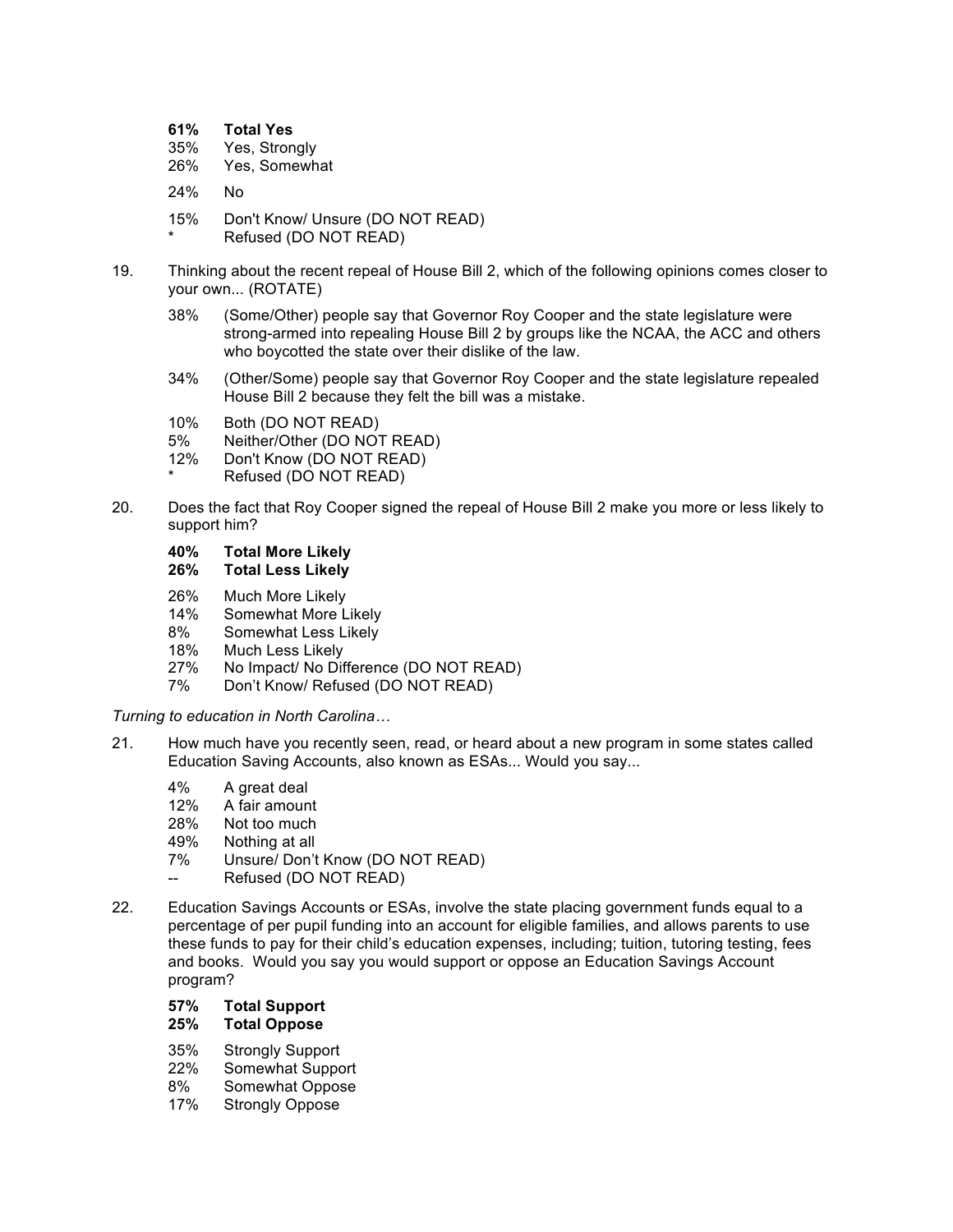| 61% | <b>Total Yes</b> |  |
|-----|------------------|--|
|-----|------------------|--|

- 35% Yes, Strongly
- 26% Yes, Somewhat
- 24% No
- 15% Don't Know/ Unsure (DO NOT READ)
- Refused (DO NOT READ)
- 19. Thinking about the recent repeal of House Bill 2, which of the following opinions comes closer to your own... (ROTATE)
	- 38% (Some/Other) people say that Governor Roy Cooper and the state legislature were strong-armed into repealing House Bill 2 by groups like the NCAA, the ACC and others who boycotted the state over their dislike of the law.
	- 34% (Other/Some) people say that Governor Roy Cooper and the state legislature repealed House Bill 2 because they felt the bill was a mistake.
	- 10% Both (DO NOT READ)
	- 5% Neither/Other (DO NOT READ)<br>12% Don't Know (DO NOT READ)
	- Don't Know (DO NOT READ)
	- Refused (DO NOT READ)
- 20. Does the fact that Roy Cooper signed the repeal of House Bill 2 make you more or less likely to support him?
	- **40% Total More Likely**

## **26% Total Less Likely**

- 26% Much More Likely
- 14% Somewhat More Likely
- 8% Somewhat Less Likely
- 18% Much Less Likely<br>27% No Impact/ No Dif
- No Impact/ No Difference (DO NOT READ)
- 7% Don't Know/ Refused (DO NOT READ)

*Turning to education in North Carolina…*

- 21. How much have you recently seen, read, or heard about a new program in some states called Education Saving Accounts, also known as ESAs... Would you say...
	- 4% A great deal
	- 12% A fair amount
	- 28% Not too much
	- 49% Nothing at all
	- 7% Unsure/ Don't Know (DO NOT READ)
	- Refused (DO NOT READ)
- 22. Education Savings Accounts or ESAs, involve the state placing government funds equal to a percentage of per pupil funding into an account for eligible families, and allows parents to use these funds to pay for their child's education expenses, including; tuition, tutoring testing, fees and books. Would you say you would support or oppose an Education Savings Account program?

## **57% Total Support**

## **25% Total Oppose**

- 35% Strongly Support
- 22% Somewhat Support<br>8% Somewhat Oppose
- Somewhat Oppose
- 17% Strongly Oppose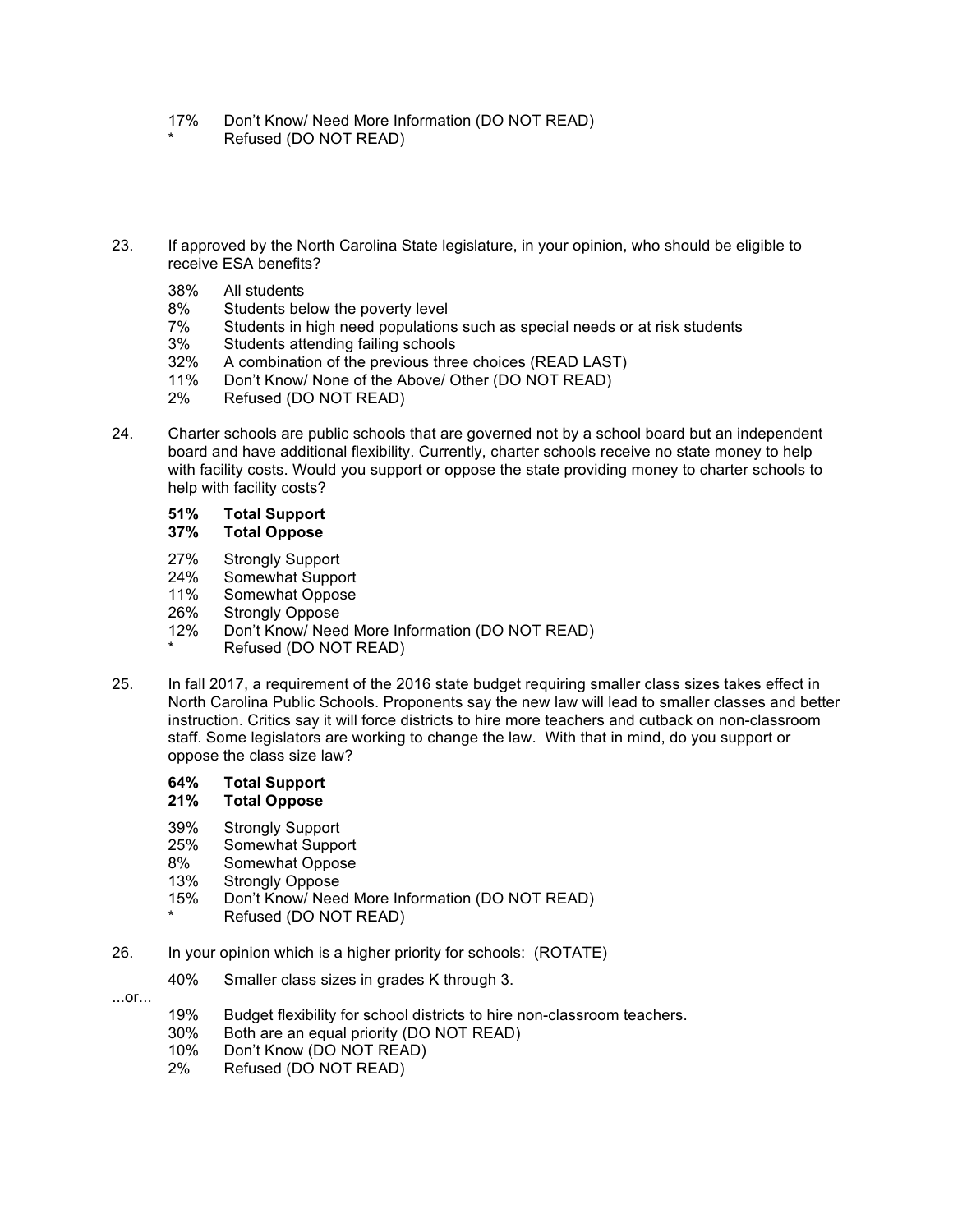- 17% Don't Know/ Need More Information (DO NOT READ)
- Refused (DO NOT READ)
- 23. If approved by the North Carolina State legislature, in your opinion, who should be eligible to receive ESA benefits?
	- 38% All students
	- 8% Students below the poverty level
	- 7% Students in high need populations such as special needs or at risk students
	- 3% Students attending failing schools
	- 32% A combination of the previous three choices (READ LAST)
	- 11% Don't Know/ None of the Above/ Other (DO NOT READ)
	- 2% Refused (DO NOT READ)
- 24. Charter schools are public schools that are governed not by a school board but an independent board and have additional flexibility. Currently, charter schools receive no state money to help with facility costs. Would you support or oppose the state providing money to charter schools to help with facility costs?

## **51% Total Support**

#### **37% Total Oppose**

- 27% Strongly Support
- 24% Somewhat Support
- 11% Somewhat Oppose
- 26% Strongly Oppose
- 12% Don't Know/ Need More Information (DO NOT READ)
- Refused (DO NOT READ)
- 25. In fall 2017, a requirement of the 2016 state budget requiring smaller class sizes takes effect in North Carolina Public Schools. Proponents say the new law will lead to smaller classes and better instruction. Critics say it will force districts to hire more teachers and cutback on non-classroom staff. Some legislators are working to change the law. With that in mind, do you support or oppose the class size law?

#### **64% Total Support**

#### **21% Total Oppose**

- 39% Strongly Support
- 25% Somewhat Support
- 8% Somewhat Oppose
- 13% Strongly Oppose
- 15% Don't Know/ Need More Information (DO NOT READ)
	- Refused (DO NOT READ)
- 26. In your opinion which is a higher priority for schools: (ROTATE)
	- 40% Smaller class sizes in grades K through 3.
- ...or...
- 19% Budget flexibility for school districts to hire non-classroom teachers.<br>30% Both are an equal priority (DO NOT READ)
- Both are an equal priority (DO NOT READ)
- 10% Don't Know (DO NOT READ)
- 2% Refused (DO NOT READ)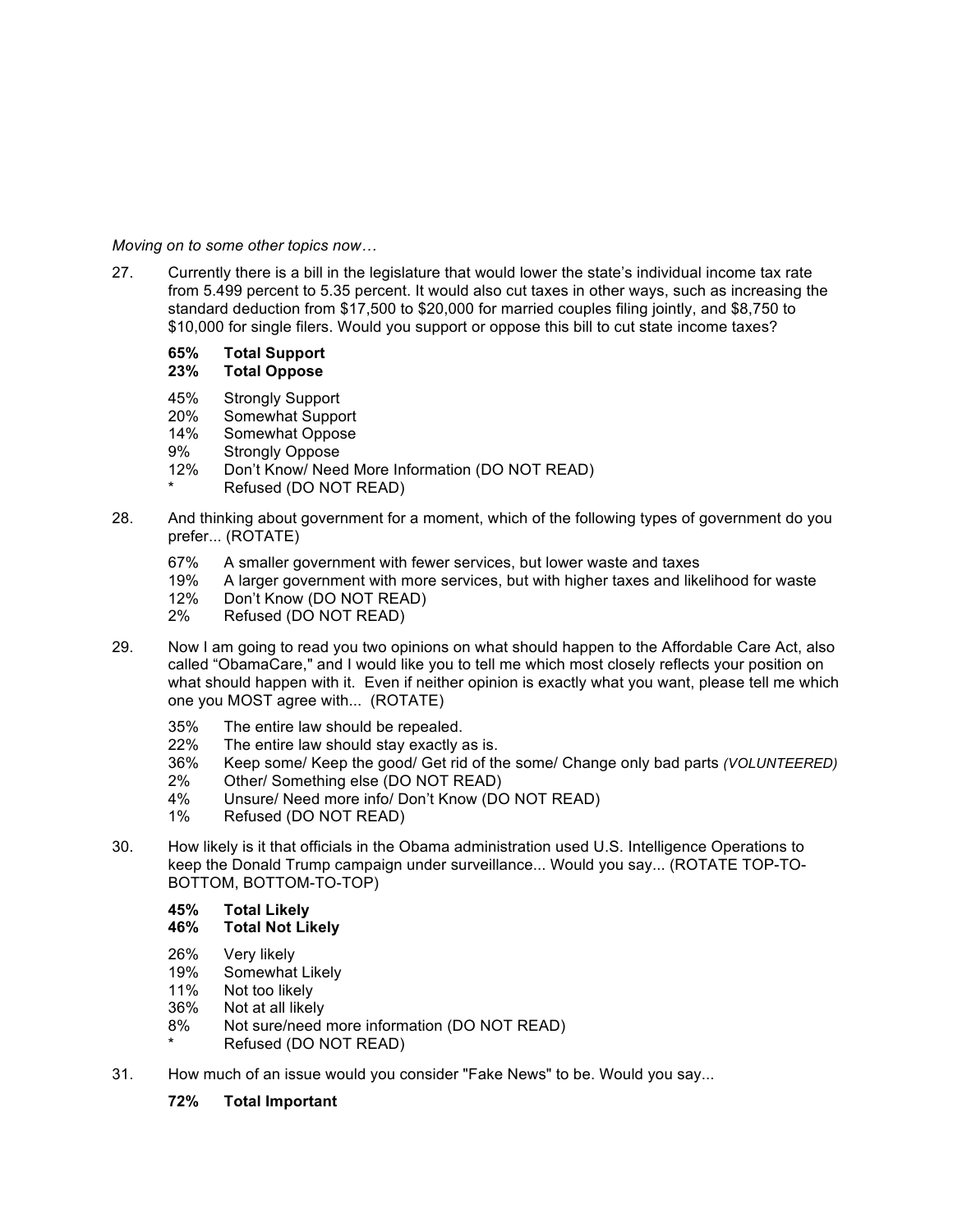*Moving on to some other topics now…*

- 27. Currently there is a bill in the legislature that would lower the state's individual income tax rate from 5.499 percent to 5.35 percent. It would also cut taxes in other ways, such as increasing the standard deduction from \$17,500 to \$20,000 for married couples filing jointly, and \$8,750 to \$10,000 for single filers. Would you support or oppose this bill to cut state income taxes?
	- **65% Total Support**

## **23% Total Oppose**

- 45% Strongly Support
- 20% Somewhat Support<br>14% Somewhat Oppose
- Somewhat Oppose
- 9% Strongly Oppose
- 12% Don't Know/ Need More Information (DO NOT READ)
- Refused (DO NOT READ)
- 28. And thinking about government for a moment, which of the following types of government do you prefer... (ROTATE)
	- 67% A smaller government with fewer services, but lower waste and taxes
	- 19% A larger government with more services, but with higher taxes and likelihood for waste
	- 12% Don't Know (DO NOT READ)
	- 2% Refused (DO NOT READ)
- 29. Now I am going to read you two opinions on what should happen to the Affordable Care Act, also called "ObamaCare," and I would like you to tell me which most closely reflects your position on what should happen with it. Even if neither opinion is exactly what you want, please tell me which one you MOST agree with... (ROTATE)
	- 35% The entire law should be repealed.
	- 22% The entire law should stay exactly as is.
	- 36% Keep some/ Keep the good/ Get rid of the some/ Change only bad parts *(VOLUNTEERED)*
	- 2% Other/ Something else (DO NOT READ)
	- 4% Unsure/ Need more info/ Don't Know (DO NOT READ)
	- 1% Refused (DO NOT READ)
- 30. How likely is it that officials in the Obama administration used U.S. Intelligence Operations to keep the Donald Trump campaign under surveillance... Would you say... (ROTATE TOP-TO-BOTTOM, BOTTOM-TO-TOP)
	- **45% Total Likely**

## **46% Total Not Likely**

- 26% Very likely
- 19% Somewhat Likely
- 11% Not too likely
- 36% Not at all likely
- 8% Not sure/need more information (DO NOT READ)
- Refused (DO NOT READ)
- 31. How much of an issue would you consider "Fake News" to be. Would you say...
	- **72% Total Important**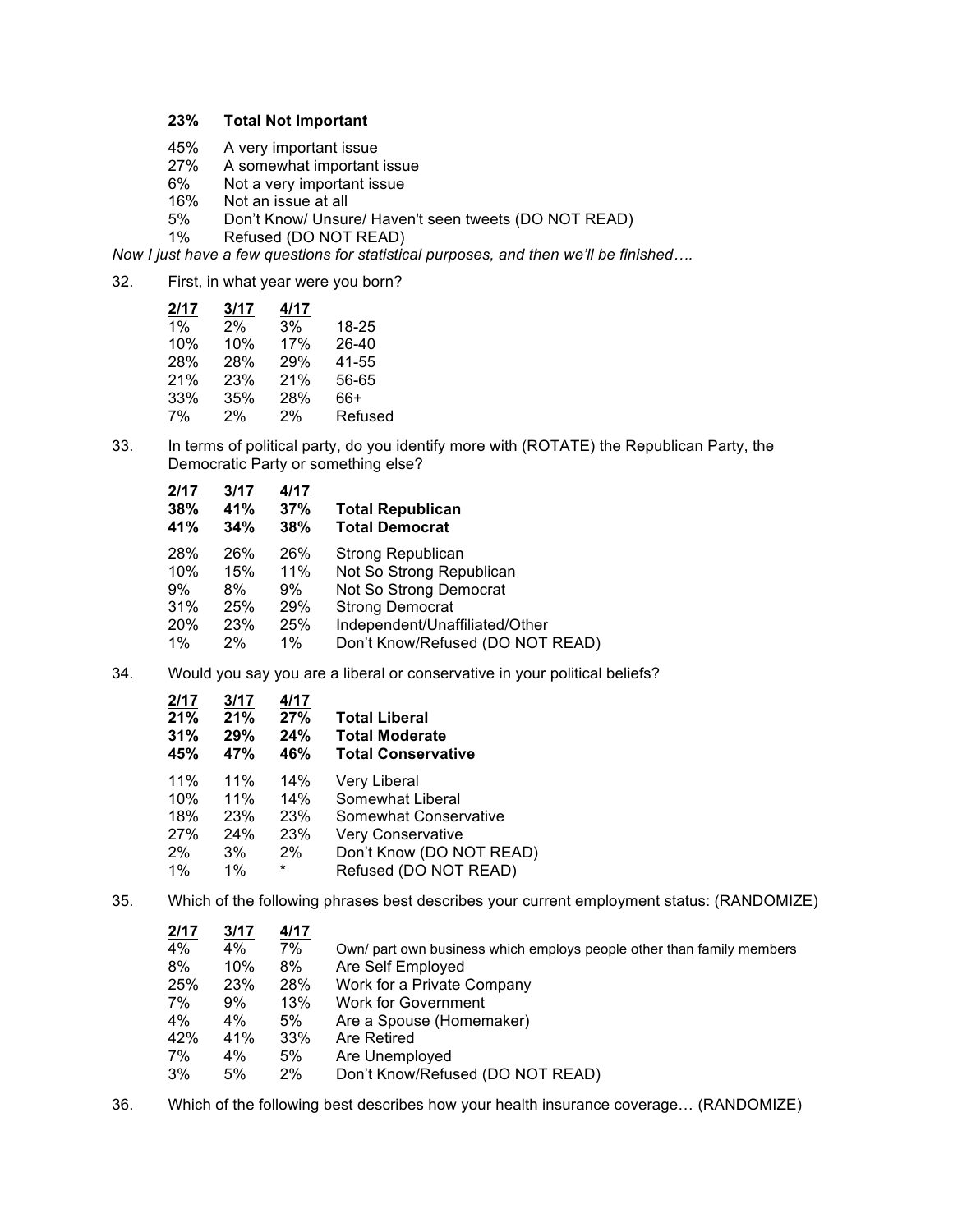#### **23% Total Not Important**

- 45% A very important issue
- 27% A somewhat important issue<br>6% Not a very important issue
- 6% Not a very important issue<br>16% Not an issue at all
- Not an issue at all
- 5% Don't Know/ Unsure/ Haven't seen tweets (DO NOT READ)<br>1% Refused (DO NOT READ)
- Refused (DO NOT READ)

*Now I just have a few questions for statistical purposes, and then we'll be finished….*

32. First, in what year were you born?

| 2/17  | 3/17 | 4/17 |         |
|-------|------|------|---------|
| $1\%$ | 2%   | 3%   | 18-25   |
| 10%   | 10%  | 17%  | 26-40   |
| 28%   | 28%  | 29%  | 41-55   |
| 21%   | 23%  | 21%  | 56-65   |
| 33%   | 35%  | 28%  | 66+     |
| 7%    | 2%   | 2%   | Refused |

33. In terms of political party, do you identify more with (ROTATE) the Republican Party, the Democratic Party or something else?

| 2/17<br>38%<br>41% | 3/17<br>41%<br>34% | 4/17<br>37%<br>38% | <b>Total Republican</b><br><b>Total Democrat</b> |
|--------------------|--------------------|--------------------|--------------------------------------------------|
| 28%                | 26%                | 26%                | <b>Strong Republican</b>                         |
| 10%                | 15%                | 11%                | Not So Strong Republican                         |
| 9%                 | 8%                 | 9%                 | Not So Strong Democrat                           |
| 31%                | 25%                | 29%                | <b>Strong Democrat</b>                           |
| 20%                | 23%                | 25%                | Independent/Unaffiliated/Other                   |
| $1\%$              | 2%                 | $1\%$              | Don't Know/Refused (DO NOT READ)                 |

34. Would you say you are a liberal or conservative in your political beliefs?

| 2/17<br>21%<br>31%<br>45% | 3/17<br>21%<br>29%<br>47% | 4/17<br>27%<br>24%<br>46% | <b>Total Liberal</b><br><b>Total Moderate</b><br><b>Total Conservative</b> |
|---------------------------|---------------------------|---------------------------|----------------------------------------------------------------------------|
| 11%                       | 11%                       | 14%                       | Very Liberal                                                               |
| 10%                       | 11%                       | 14%                       | Somewhat Liberal                                                           |
| 18%                       | 23%                       | 23%                       | Somewhat Conservative                                                      |
| 27%                       | 24%                       | 23%                       | Very Conservative                                                          |
| $2\%$                     | $3\%$                     | 2%                        | Don't Know (DO NOT READ)                                                   |
| $1\%$                     | $1\%$                     | $^\star$                  | Refused (DO NOT READ)                                                      |
|                           |                           |                           |                                                                            |

35. Which of the following phrases best describes your current employment status: (RANDOMIZE)

| 2/17 | 3/17  | 4/17  |                                                                       |
|------|-------|-------|-----------------------------------------------------------------------|
| 4%   | $4\%$ | 7%    | Own/ part own business which employs people other than family members |
| 8%   | 10%   | 8%    | Are Self Employed                                                     |
| 25%  | 23%   | 28%   | Work for a Private Company                                            |
| 7%   | 9%    | 13%   | <b>Work for Government</b>                                            |
| 4%   | $4\%$ | 5%    | Are a Spouse (Homemaker)                                              |
| 42%  | 41%   | 33%   | Are Retired                                                           |
| 7%   | $4\%$ | 5%    | Are Unemployed                                                        |
| 3%   | 5%    | $2\%$ | Don't Know/Refused (DO NOT READ)                                      |
|      |       |       |                                                                       |

36. Which of the following best describes how your health insurance coverage… (RANDOMIZE)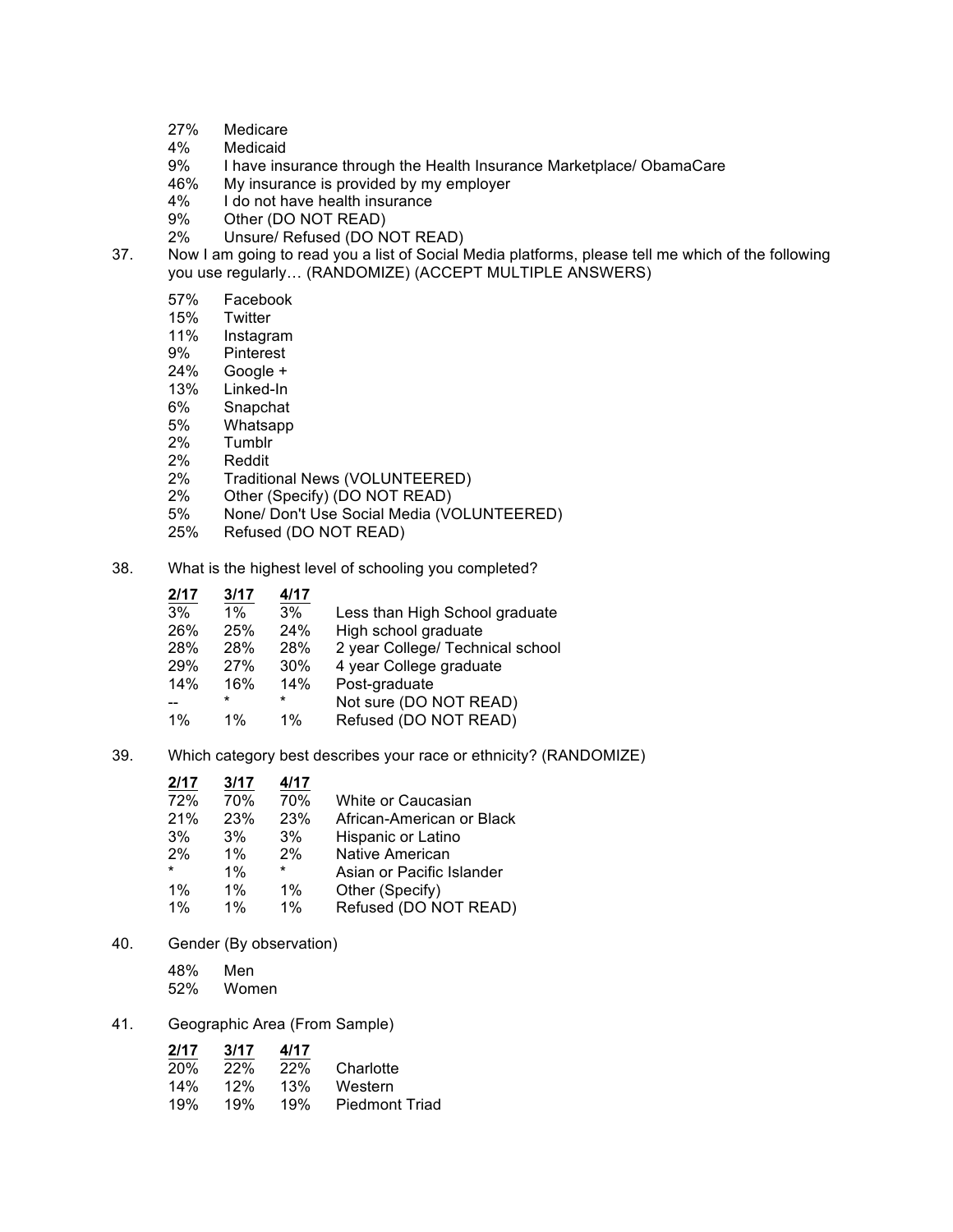- 27% Medicare
- Medicaid
- 9% I have insurance through the Health Insurance Marketplace/ ObamaCare<br>46% My insurance is provided by my emplover
- My insurance is provided by my employer
- 4% I do not have health insurance
- 9% Other (DO NOT READ)<br>2% Unsure/ Refused (DO N
- Unsure/ Refused (DO NOT READ)
- 37. Now I am going to read you a list of Social Media platforms, please tell me which of the following you use regularly… (RANDOMIZE) (ACCEPT MULTIPLE ANSWERS)
	- 57% Facebook
	- 15% Twitter<br>11% Instagra
	- **Instagram**
	- 9% Pinterest<br>24% Google +
	- 24% Google +<br>13% Linked-In
	- Linked-In
	- 6% Snapchat
	- 5% Whatsapp
	- **Tumblr**
	- 2% Reddit
	- 2% Traditional News (VOLUNTEERED)<br>2% Other (Specify) (DO NOT READ)
	- Other (Specify) (DO NOT READ)
	- 5% None/ Don't Use Social Media (VOLUNTEERED)
	- 25% Refused (DO NOT READ)
- 38. What is the highest level of schooling you completed?

| 2/17  | 3/17    | 4/17  |                                  |
|-------|---------|-------|----------------------------------|
| 3%    | $1\%$   | 3%    | Less than High School graduate   |
| 26%   | 25%     | 24%   | High school graduate             |
| 28%   | 28%     | 28%   | 2 year College/ Technical school |
| 29%   | 27%     | 30%   | 4 year College graduate          |
| 14%   | 16%     | 14%   | Post-graduate                    |
|       | $\star$ | *     | Not sure (DO NOT READ)           |
| $1\%$ | $1\%$   | $1\%$ | Refused (DO NOT READ)            |
|       |         |       |                                  |

39. Which category best describes your race or ethnicity? (RANDOMIZE)

| White or Caucasian        |
|---------------------------|
| African-American or Black |
| Hispanic or Latino        |
|                           |
| Asian or Pacific Islander |
|                           |
| Refused (DO NOT READ)     |
|                           |

40. Gender (By observation)

48% Men 52% Women

#### 41. Geographic Area (From Sample)

| 2/17       | 3/17 | 4/17 |                       |
|------------|------|------|-----------------------|
| <b>20%</b> | 22%  | 22%  | Charlotte             |
| 14%        | 12%  | 13%  | Western               |
| 19%        | 19%  | 19%  | <b>Piedmont Triad</b> |